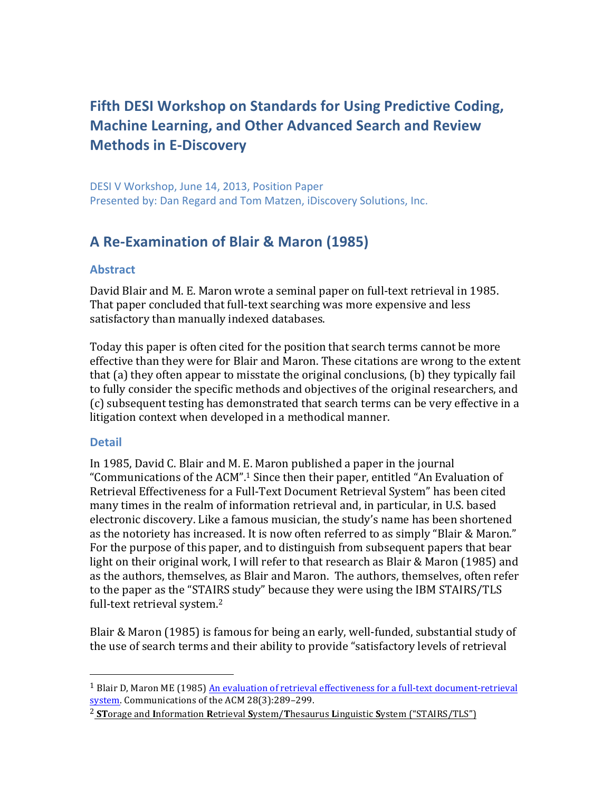# **Fifth DESI Workshop on Standards for Using Predictive Coding, Machine Learning, and Other Advanced Search and Review Methods in E-Discovery**

DESI V Workshop, June 14, 2013, Position Paper Presented by: Dan Regard and Tom Matzen, iDiscovery Solutions, Inc.

# **A Re-Examination of Blair & Maron (1985)**

# **Abstract**

David Blair and M. E. Maron wrote a seminal paper on full-text retrieval in 1985. That paper concluded that full-text searching was more expensive and less satisfactory than manually indexed databases.

Today this paper is often cited for the position that search terms cannot be more effective than they were for Blair and Maron. These citations are wrong to the extent that (a) they often appear to misstate the original conclusions, (b) they typically fail to fully consider the specific methods and objectives of the original researchers, and (c) subsequent testing has demonstrated that search terms can be very effective in a litigation context when developed in a methodical manner.

# **Detail**

 

In 1985, David C. Blair and M. E. Maron published a paper in the journal "Communications of the ACM".<sup>1</sup> Since then their paper, entitled "An Evaluation of Retrieval Effectiveness for a Full-Text Document Retrieval System" has been cited many times in the realm of information retrieval and, in particular, in U.S. based electronic discovery. Like a famous musician, the study's name has been shortened as the notoriety has increased. It is now often referred to as simply "Blair & Maron." For the purpose of this paper, and to distinguish from subsequent papers that bear light on their original work, I will refer to that research as Blair & Maron (1985) and as the authors, themselves, as Blair and Maron. The authors, themselves, often refer to the paper as the "STAIRS study" because they were using the IBM STAIRS/TLS full-text retrieval system.<sup>2</sup>

Blair & Maron (1985) is famous for being an early, well-funded, substantial study of the use of search terms and their ability to provide "satisfactory levels of retrieval

<sup>&</sup>lt;sup>1</sup> Blair D, Maron ME (1985) An evaluation of retrieval effectiveness for a full-text document-retrieval system. Communications of the ACM 28(3):289-299.

<sup>&</sup>lt;sup>2</sup> STorage and Information Retrieval System/Thesaurus Linguistic System ("STAIRS/TLS")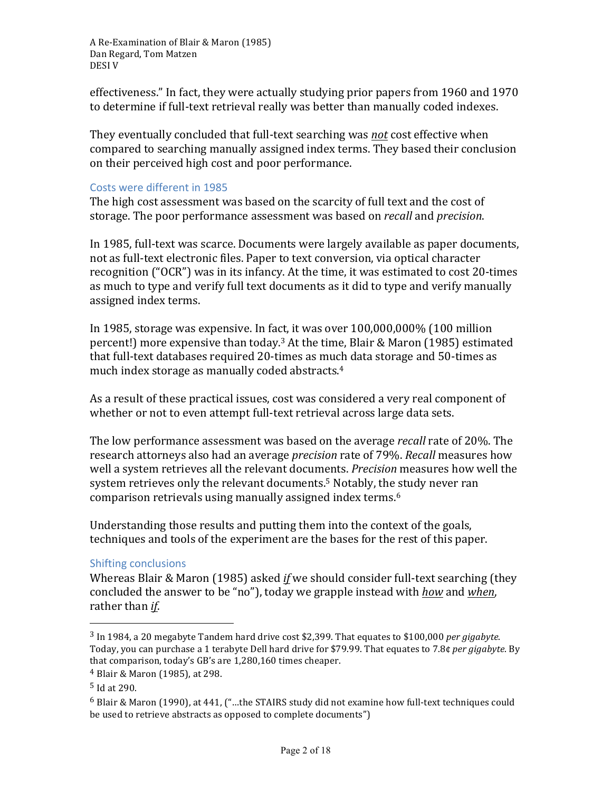effectiveness." In fact, they were actually studying prior papers from 1960 and 1970 to determine if full-text retrieval really was better than manually coded indexes.

They eventually concluded that full-text searching was *not* cost effective when compared to searching manually assigned index terms. They based their conclusion on their perceived high cost and poor performance.

#### Costs were different in 1985

The high cost assessment was based on the scarcity of full text and the cost of storage. The poor performance assessment was based on *recall* and *precision*.

In 1985, full-text was scarce. Documents were largely available as paper documents, not as full-text electronic files. Paper to text conversion, via optical character recognition ("OCR") was in its infancy. At the time, it was estimated to cost 20-times as much to type and verify full text documents as it did to type and verify manually assigned index terms.

In 1985, storage was expensive. In fact, it was over  $100,000,000\%$  (100 million percent!) more expensive than today.<sup>3</sup> At the time, Blair & Maron (1985) estimated that full-text databases required 20-times as much data storage and 50-times as much index storage as manually coded abstracts. $4$ 

As a result of these practical issues, cost was considered a very real component of whether or not to even attempt full-text retrieval across large data sets.

The low performance assessment was based on the average *recall* rate of 20%. The research attorneys also had an average *precision* rate of 79%. *Recall* measures how well a system retrieves all the relevant documents. *Precision* measures how well the system retrieves only the relevant documents.<sup>5</sup> Notably, the study never ran comparison retrievals using manually assigned index terms.<sup>6</sup>

Understanding those results and putting them into the context of the goals, techniques and tools of the experiment are the bases for the rest of this paper.

# Shifting conclusions

Whereas Blair & Maron (1985) asked *if* we should consider full-text searching (they concluded the answer to be "no"), today we grapple instead with <u>how</u> and when, rather than *if*.

 $3 \text{ In } 1984$ , a 20 megabyte Tandem hard drive cost \$2,399. That equates to \$100,000 *per gigabyte*. Today, you can purchase a 1 terabyte Dell hard drive for \$79.99. That equates to 7.8¢ *per gigabyte*. By that comparison, today's GB's are 1,280,160 times cheaper.

<sup>&</sup>lt;sup>4</sup> Blair & Maron (1985), at 298.

 $5$  Id at 290.

 $6$  Blair & Maron (1990), at 441, ("...the STAIRS study did not examine how full-text techniques could be used to retrieve abstracts as opposed to complete documents")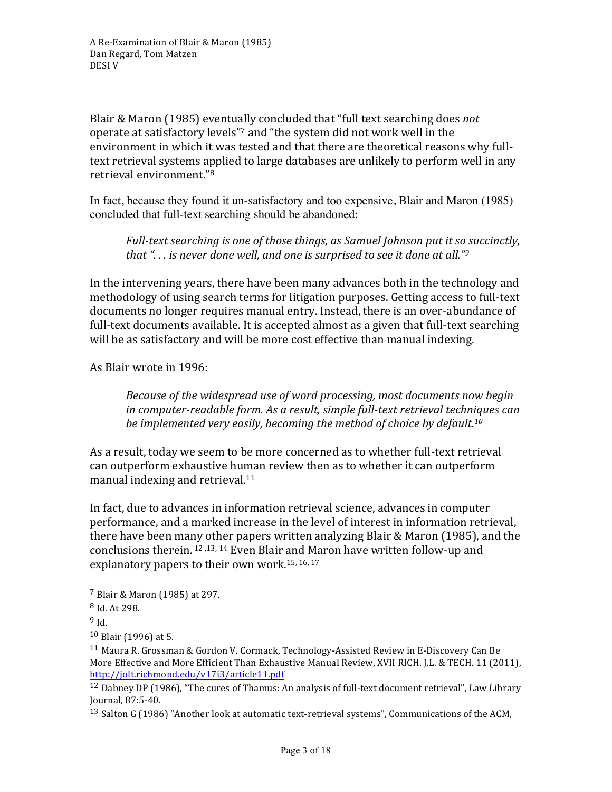Blair & Maron (1985) eventually concluded that "full text searching does *not* operate at satisfactory levels"<sup>7</sup> and "the system did not work well in the environment in which it was tested and that there are theoretical reasons why fulltext retrieval systems applied to large databases are unlikely to perform well in any retrieval environment."<sup>8</sup>

In fact, because they found it un-satisfactory and too expensive, Blair and Maron (1985) concluded that full-text searching should be abandoned:

*Full-text searching is one of those things, as Samuel Johnson put it so succinctly, that* "... is never done well, and one is surprised to see it done at all."<sup>9</sup>

In the intervening years, there have been many advances both in the technology and methodology of using search terms for litigation purposes. Getting access to full-text documents no longer requires manual entry. Instead, there is an over-abundance of full-text documents available. It is accepted almost as a given that full-text searching will be as satisfactory and will be more cost effective than manual indexing.

As Blair wrote in 1996:

*Because of the widespread use of word processing, most documents now begin in* computer-readable form. As a result, simple full-text retrieval techniques can *be implemented very easily, becoming the method of choice by default.<sup>10</sup>* 

As a result, today we seem to be more concerned as to whether full-text retrieval can outperform exhaustive human review then as to whether it can outperform manual indexing and retrieval.<sup>11</sup>

In fact, due to advances in information retrieval science, advances in computer performance, and a marked increase in the level of interest in information retrieval, there have been many other papers written analyzing Blair & Maron (1985), and the conclusions therein.  $12,13, 14$  Even Blair and Maron have written follow-up and explanatory papers to their own work.<sup>15, 16, 17</sup>

<sup>13</sup> Salton G (1986) "Another look at automatic text-retrieval systems", Communications of the ACM,

 <sup>7</sup> Blair & Maron (1985) at 297.

 $8$  Id. At 298.

<sup>9</sup> Id.

 $10$  Blair (1996) at 5.

<sup>&</sup>lt;sup>11</sup> Maura R. Grossman & Gordon V. Cormack, Technology-Assisted Review in E-Discovery Can Be More Effective and More Efficient Than Exhaustive Manual Review, XVII RICH. J.L. & TECH. 11 (2011), http://jolt.richmond.edu/v17i3/article11.pdf

<sup>&</sup>lt;sup>12</sup> Dabney DP (1986), "The cures of Thamus: An analysis of full-text document retrieval", Law Library Journal, 87:5-40.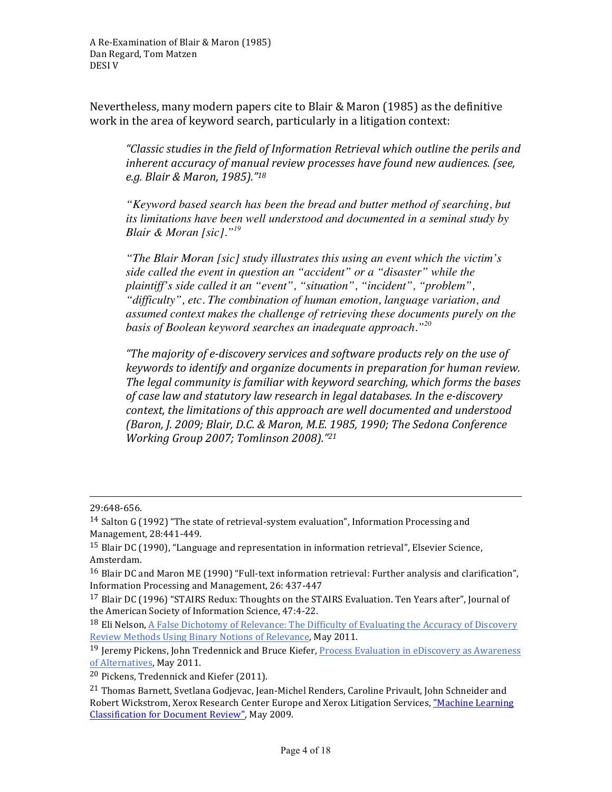Nevertheless, many modern papers cite to Blair  $&$  Maron (1985) as the definitive work in the area of keyword search, particularly in a litigation context:

"Classic studies in the field of Information Retrieval which outline the perils and *inherent accuracy of manual review processes have found new audiences. (see, e.g. Blair & Maron, 1985)."18*

*"Keyword based search has been the bread and butter method of searching, but its limitations have been well understood and documented in a seminal study by Blair & Moran [sic]."19*

*"The Blair Moran [sic] study illustrates this using an event which the victim's side called the event in question an "accident" or a "disaster" while the plaintiff's side called it an "event", "situation", "incident", "problem", "difficulty", etc. The combination of human emotion, language variation, and assumed context makes the challenge of retrieving these documents purely on the basis of Boolean keyword searches an inadequate approach."20*

*"The majority of e-discovery services and software products rely on the use of keywords* to *identify* and organize documents in preparation for human review. The legal community is familiar with keyword searching, which forms the bases of case law and statutory law research in legal databases. In the e-discovery context, the limitations of this approach are well documented and understood *(Baron, J. 2009; Blair, D.C. & Maron, M.E. 1985, 1990; The Sedona Conference Working Group 2007; Tomlinson 2008)."21* 

<u> 1989 - Andrea San Andrea San Andrea San Andrea San Andrea San Andrea San Andrea San Andrea San Andrea San An</u>

<sup>29:648-656.</sup>

 $14$  Salton G (1992) "The state of retrieval-system evaluation", Information Processing and Management, 28:441-449.

<sup>&</sup>lt;sup>15</sup> Blair DC (1990), "Language and representation in information retrieval", Elsevier Science, Amsterdam.

<sup>&</sup>lt;sup>16</sup> Blair DC and Maron ME (1990) "Full-text information retrieval: Further analysis and clarification", Information Processing and Management, 26: 437-447

<sup>&</sup>lt;sup>17</sup> Blair DC (1996) "STAIRS Redux: Thoughts on the STAIRS Evaluation. Ten Years after", Journal of the American Society of Information Science, 47:4-22.

<sup>&</sup>lt;sup>18</sup> Eli Nelson, A False Dichotomy of Relevance: The Difficulty of Evaluating the Accuracy of Discovery Review Methods Using Binary Notions of Relevance, May 2011.

 $19$  Jeremy Pickens, John Tredennick and Bruce Kiefer, Process Evaluation in eDiscovery as Awareness of Alternatives, May 2011.

 $20$  Pickens, Tredennick and Kiefer (2011).

<sup>&</sup>lt;sup>21</sup> Thomas Barnett, Svetlana Godievac, Jean-Michel Renders, Caroline Privault, John Schneider and Robert Wickstrom, Xerox Research Center Europe and Xerox Litigation Services, "Machine Learning Classification for Document Review", May 2009.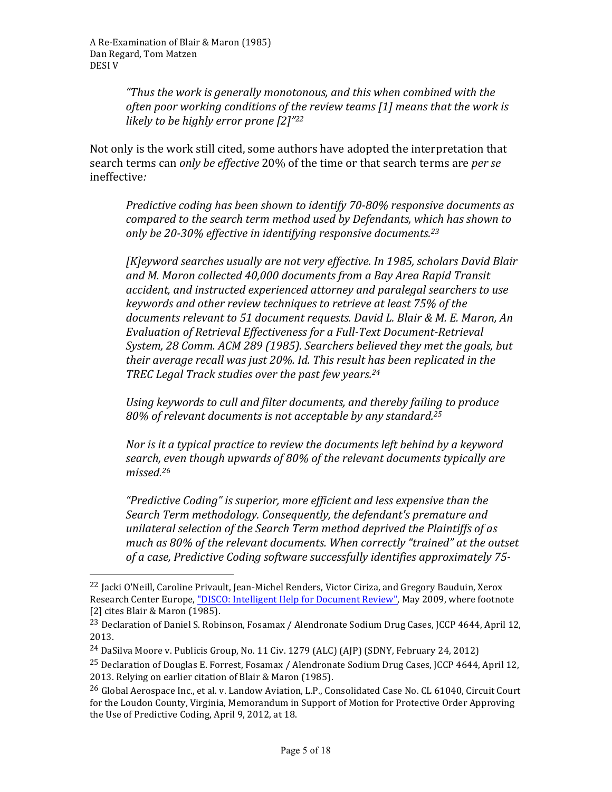"Thus the work is generally monotonous, and this when combined with the often poor working conditions of the review teams [1] means that the work is *likely to be highly error prone* [2]"<sup>22</sup>

Not only is the work still cited, some authors have adopted the interpretation that search terms can *only be effective* 20% of the time or that search terms are *per se* ineffective*:*

*Predictive coding has been shown to identify 70-80% responsive documents as compared to the search term method used by Defendants, which has shown to* only be 20-30% effective in identifying responsive documents.<sup>23</sup>

*[K]eyword searches usually are not very effective. In 1985, scholars David Blair* and M. Maron collected 40,000 documents from a Bay Area Rapid Transit *accident, and instructed experienced attorney and paralegal searchers to use keywords and other review techniques to retrieve at least 75% of the* documents relevant to 51 document requests. David L. Blair & M. E. Maron, An *Evaluation of Retrieval Effectiveness for a Full-Text Document-Retrieval System, 28 Comm. ACM 289 (1985). Searchers believed they met the goals, but their average recall was just 20%. Id. This result has been replicated in the* TREC Legal Track studies over the past few years.<sup>24</sup>

Using keywords to cull and filter documents, and thereby failing to produce 80% of relevant documents is not acceptable by any standard.<sup>25</sup>

*Nor is it a typical practice to review the documents left behind by a keyword* search, even though upwards of 80% of the relevant documents typically are *missed.26*

"Predictive Coding" is superior, more efficient and less expensive than the Search Term methodology. Consequently, the defendant's premature and *unilateral selection of the Search Term method deprived the Plaintiffs of as* much as 80% of the relevant documents. When correctly "trained" at the outset of a case, Predictive Coding software successfully identifies approximately 75-

<sup>&</sup>lt;sup>22</sup> Jacki O'Neill, Caroline Privault, Jean-Michel Renders, Victor Ciriza, and Gregory Bauduin, Xerox Research Center Europe, "DISCO: Intelligent Help for Document Review", May 2009, where footnote [2] cites Blair & Maron (1985).

<sup>&</sup>lt;sup>23</sup> Declaration of Daniel S. Robinson, Fosamax / Alendronate Sodium Drug Cases, JCCP 4644, April 12, 2013.

<sup>&</sup>lt;sup>24</sup> DaSilva Moore v. Publicis Group, No. 11 Civ. 1279 (ALC) (AJP) (SDNY, February 24, 2012)

<sup>&</sup>lt;sup>25</sup> Declaration of Douglas E. Forrest, Fosamax / Alendronate Sodium Drug Cases, JCCP 4644, April 12, 2013. Relying on earlier citation of Blair & Maron (1985).

<sup>&</sup>lt;sup>26</sup> Global Aerospace Inc., et al. y. Landow Aviation, L.P., Consolidated Case No. CL 61040, Circuit Court for the Loudon County, Virginia, Memorandum in Support of Motion for Protective Order Approving the Use of Predictive Coding, April 9, 2012, at 18.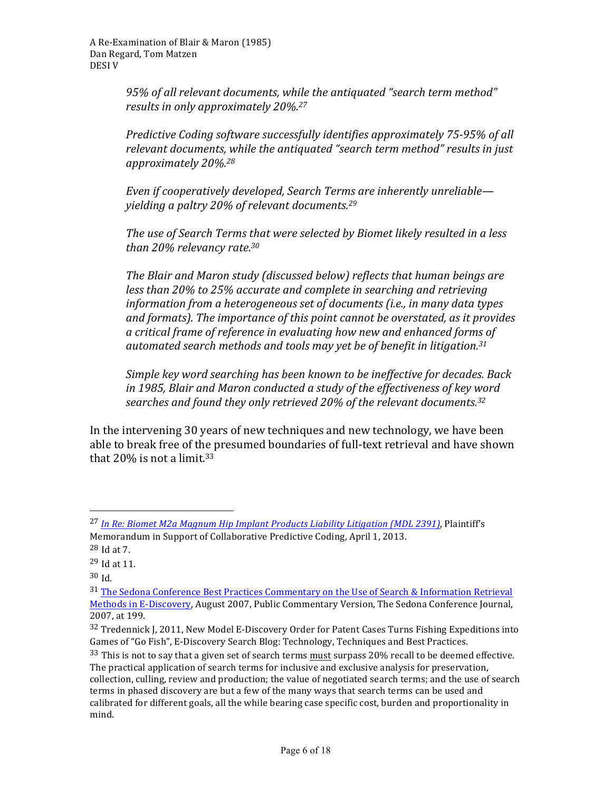95% of all relevant documents, while the antiquated "search term method" results in only approximately 20%.<sup>27</sup>

*Predictive Coding software successfully identifies approximately 75-95% of all* relevant documents, while the antiquated "search term method" results in just *approximately 20%.28*

*Even* if cooperatively developed, Search Terms are inherently unreliable yielding a paltry 20% of relevant documents.<sup>29</sup>

*The use of Search Terms that were selected by Biomet likely resulted in a less than 20% relevancy rate.30*

The Blair and Maron study (discussed below) reflects that human beings are *less than 20% to 25% accurate and complete in searching and retrieving information from a heterogeneous set of documents (i.e., in many data types* and formats). The *importance of this point cannot be overstated, as it provides a critical frame of reference in evaluating how new and enhanced forms of automated search methods and tools may yet be of benefit in litigation.31*

Simple key word searching has been known to be ineffective for decades. Back in 1985, Blair and Maron conducted a study of the effectiveness of key word searches and found they only retrieved 20% of the relevant documents.<sup>32</sup>

In the intervening 30 years of new techniques and new technology, we have been able to break free of the presumed boundaries of full-text retrieval and have shown that  $20\%$  is not a limit.<sup>33</sup>

<sup>&</sup>lt;sup>27</sup> In Re: Biomet M2a Magnum Hip Implant Products Liability Litigation (MDL 2391), Plaintiff's Memorandum in Support of Collaborative Predictive Coding, April 1, 2013.

 $28$  Id at 7.

 $29$  Id at 11.

<sup>30</sup> Id.

<sup>31</sup> The Sedona Conference Best Practices Commentary on the Use of Search & Information Retrieval Methods in E-Discovery, August 2007, Public Commentary Version, The Sedona Conference Journal, 2007, at 199.

 $32$  Tredennick J, 2011, New Model E-Discovery Order for Patent Cases Turns Fishing Expeditions into Games of "Go Fish", E-Discovery Search Blog: Technology, Techniques and Best Practices.

<sup>33</sup> This is not to say that a given set of search terms must surpass 20% recall to be deemed effective. The practical application of search terms for inclusive and exclusive analysis for preservation, collection, culling, review and production; the value of negotiated search terms; and the use of search terms in phased discovery are but a few of the many ways that search terms can be used and calibrated for different goals, all the while bearing case specific cost, burden and proportionality in mind.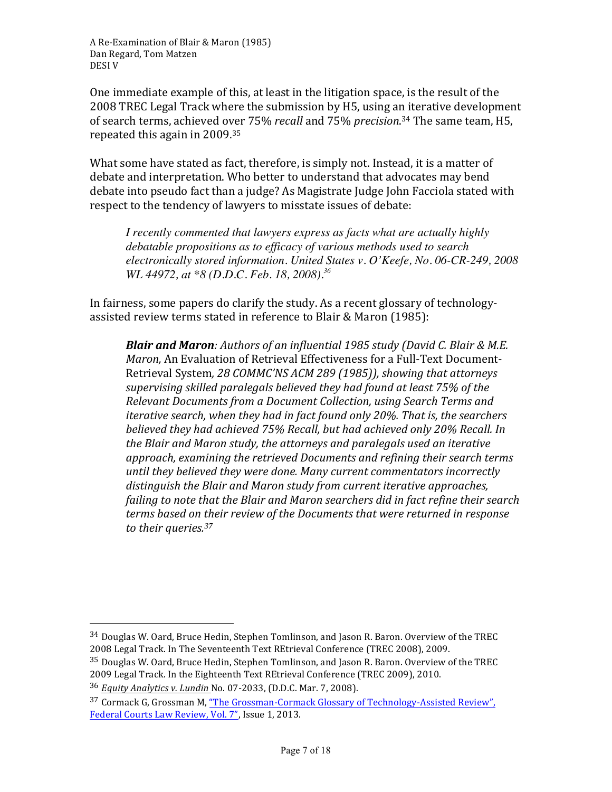One immediate example of this, at least in the litigation space, is the result of the 2008 TREC Legal Track where the submission by H5, using an iterative development of search terms, achieved over 75% *recall* and 75% *precision*.<sup>34</sup> The same team, H5, repeated this again in  $2009^{35}$ 

What some have stated as fact, therefore, is simply not. Instead, it is a matter of debate and interpretation. Who better to understand that advocates may bend debate into pseudo fact than a judge? As Magistrate Judge John Facciola stated with respect to the tendency of lawyers to misstate issues of debate:

*I recently commented that lawyers express as facts what are actually highly debatable propositions as to efficacy of various methods used to search electronically stored information. United States v. O'Keefe, No. 06-CR-249, 2008 WL 44972, at \*8 (D.D.C. Feb. 18, 2008).<sup>36</sup>*

In fairness, some papers do clarify the study. As a recent glossary of technologyassisted review terms stated in reference to Blair & Maron (1985):

**Blair and Maron**: Authors of an influential 1985 study (David C. Blair & M.E. *Maron*, An Evaluation of Retrieval Effectiveness for a Full-Text Document-Retrieval System, 28 COMMC'NS ACM 289 (1985)), showing that attorneys supervising skilled paralegals believed they had found at least 75% of the *Relevant Documents from a Document Collection, using Search Terms and iterative search, when they had in fact found only 20%. That is, the searchers believed they had achieved 75% Recall, but had achieved only 20% Recall. In* the Blair and Maron study, the attorneys and paralegals used an iterative approach, examining the retrieved Documents and refining their search terms *until* they believed they were done. Many current commentators incorrectly distinguish the Blair and Maron study from current *iterative approaches*, *failing* to note that the Blair and Maron searchers did in fact refine their search *terms based on their review of the Documents that were returned in response* to their queries.<sup>37</sup>

 $34$  Douglas W. Oard, Bruce Hedin, Stephen Tomlinson, and Jason R. Baron. Overview of the TREC 2008 Legal Track. In The Seventeenth Text REtrieval Conference (TREC 2008), 2009.

 $35$  Douglas W. Oard, Bruce Hedin, Stephen Tomlinson, and Jason R. Baron. Overview of the TREC 2009 Legal Track. In the Eighteenth Text REtrieval Conference (TREC 2009), 2010.

<sup>36</sup> *Equity Analytics v. Lundin* No. 07-2033, (D.D.C. Mar. 7, 2008).

<sup>&</sup>lt;sup>37</sup> Cormack G, Grossman M, "The Grossman-Cormack Glossary of Technology-Assisted Review", Federal Courts Law Review, Vol. 7", Issue 1, 2013.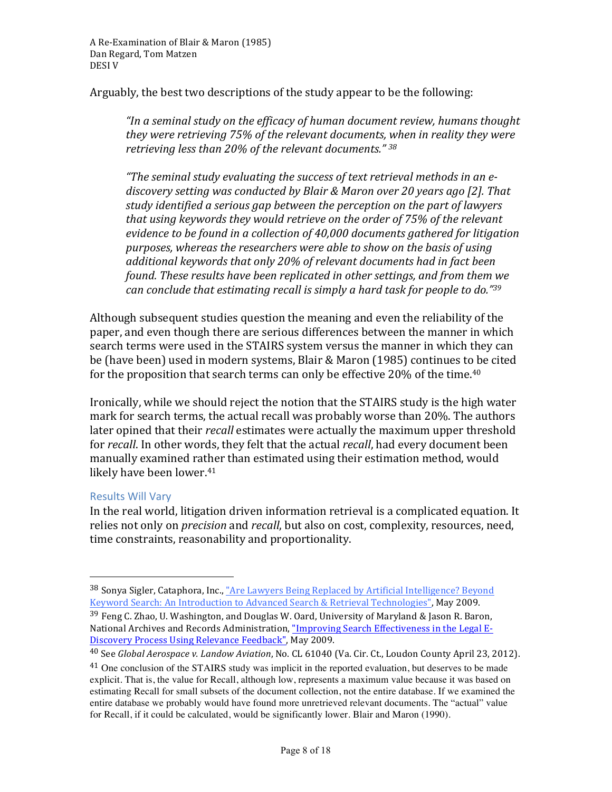Arguably, the best two descriptions of the study appear to be the following:

"In a seminal study on the efficacy of human document review, humans thought *they* were retrieving 75% of the relevant documents, when in reality they were retrieving less than 20% of the relevant documents." <sup>38</sup>

"The seminal study evaluating the success of text retrieval methods in an ediscovery setting was conducted by Blair & Maron over 20 years ago [2]. That *study identified a serious gap between the perception on the part of lawyers*  that using keywords they would retrieve on the order of 75% of the relevant *evidence to be found in a collection of 40,000 documents gathered for litigation* purposes, whereas the researchers were able to show on the basis of using additional keywords that only 20% of relevant documents had in fact been *found.* These results have been replicated in other settings, and from them we *can conclude that estimating recall is simply a hard task for people to do.*"39

Although subsequent studies question the meaning and even the reliability of the paper, and even though there are serious differences between the manner in which search terms were used in the STAIRS system versus the manner in which they can be (have been) used in modern systems, Blair & Maron (1985) continues to be cited for the proposition that search terms can only be effective  $20\%$  of the time.<sup>40</sup>

Ironically, while we should reject the notion that the STAIRS study is the high water mark for search terms, the actual recall was probably worse than 20%. The authors later opined that their *recall* estimates were actually the maximum upper threshold for *recall*. In other words, they felt that the actual *recall*, had every document been manually examined rather than estimated using their estimation method, would likely have been lower.<sup>41</sup>

#### Results Will Vary

 

In the real world, litigation driven information retrieval is a complicated equation. It relies not only on *precision* and *recall*, but also on cost, complexity, resources, need, time constraints, reasonability and proportionality.

<sup>38</sup> Sonya Sigler, Cataphora, Inc., "Are Lawyers Being Replaced by Artificial Intelligence? Beyond Keyword Search: An Introduction to Advanced Search & Retrieval Technologies", May 2009.

 $39$  Feng C. Zhao, U. Washington, and Douglas W. Oard, University of Maryland & Jason R. Baron, National Archives and Records Administration, "Improving Search Effectiveness in the Legal E-Discovery Process Using Relevance Feedback", May 2009.

<sup>&</sup>lt;sup>40</sup> See *Global Aerospace v. Landow Aviation*, No. CL 61040 (Va. Cir. Ct., Loudon County April 23, 2012).

<sup>&</sup>lt;sup>41</sup> One conclusion of the STAIRS study was implicit in the reported evaluation, but deserves to be made explicit. That is, the value for Recall, although low, represents a maximum value because it was based on estimating Recall for small subsets of the document collection, not the entire database. If we examined the entire database we probably would have found more unretrieved relevant documents. The "actual" value for Recall, if it could be calculated, would be significantly lower. Blair and Maron (1990).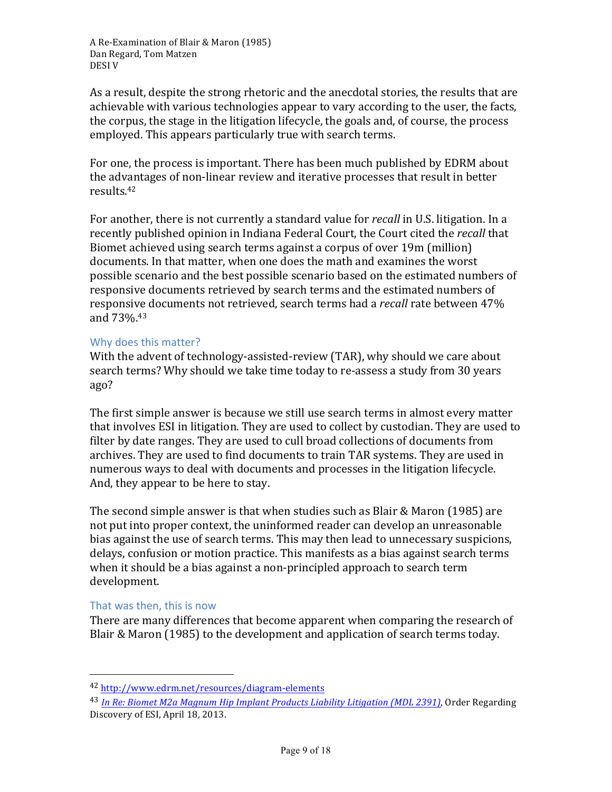As a result, despite the strong rhetoric and the anecdotal stories, the results that are achievable with various technologies appear to vary according to the user, the facts, the corpus, the stage in the litigation lifecycle, the goals and, of course, the process employed. This appears particularly true with search terms.

For one, the process is important. There has been much published by EDRM about the advantages of non-linear review and iterative processes that result in better results.42

For another, there is not currently a standard value for *recall* in U.S. litigation. In a recently published opinion in Indiana Federal Court, the Court cited the *recall* that Biomet achieved using search terms against a corpus of over 19m (million) documents. In that matter, when one does the math and examines the worst possible scenario and the best possible scenario based on the estimated numbers of responsive documents retrieved by search terms and the estimated numbers of responsive documents not retrieved, search terms had a *recall* rate between 47% and 73%.<sup>43</sup>

#### Why does this matter?

With the advent of technology-assisted-review (TAR), why should we care about search terms? Why should we take time today to re-assess a study from 30 years ago?

The first simple answer is because we still use search terms in almost every matter that involves ESI in litigation. They are used to collect by custodian. They are used to filter by date ranges. They are used to cull broad collections of documents from archives. They are used to find documents to train TAR systems. They are used in numerous ways to deal with documents and processes in the litigation lifecycle. And, they appear to be here to stay.

The second simple answer is that when studies such as Blair & Maron (1985) are not put into proper context, the uninformed reader can develop an unreasonable bias against the use of search terms. This may then lead to unnecessary suspicions, delays, confusion or motion practice. This manifests as a bias against search terms when it should be a bias against a non-principled approach to search term development.

#### That was then, this is now

 

There are many differences that become apparent when comparing the research of Blair & Maron (1985) to the development and application of search terms today.

<sup>42</sup> http://www.edrm.net/resources/diagram-elements

<sup>&</sup>lt;sup>43</sup> *In Re: Biomet M2a Magnum Hip Implant Products Liability Litigation (MDL 2391)*, Order Regarding Discovery of ESI, April 18, 2013.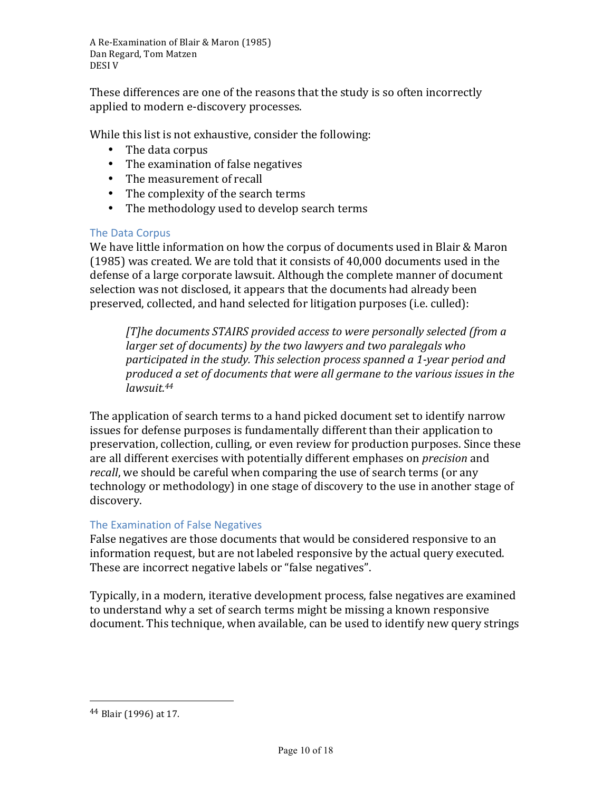These differences are one of the reasons that the study is so often incorrectly applied to modern e-discovery processes.

While this list is not exhaustive, consider the following:

- The data corpus
- The examination of false negatives
- The measurement of recall
- The complexity of the search terms
- The methodology used to develop search terms

#### The Data Corpus

We have little information on how the corpus of documents used in Blair & Maron  $(1985)$  was created. We are told that it consists of 40,000 documents used in the defense of a large corporate lawsuit. Although the complete manner of document selection was not disclosed, it appears that the documents had already been preserved, collected, and hand selected for litigation purposes (i.e. culled):

*[T]he documents STAIRS provided access to were personally selected (from a larger set of documents) by the two lawyers and two paralegals who* participated in the study. This selection process spanned a 1-year period and *produced a set of documents that were all germane to the various issues in the lawsuit.44*

The application of search terms to a hand picked document set to identify narrow issues for defense purposes is fundamentally different than their application to preservation, collection, culling, or even review for production purposes. Since these are all different exercises with potentially different emphases on *precision* and *recall*, we should be careful when comparing the use of search terms (or any technology or methodology) in one stage of discovery to the use in another stage of discovery.

# The Examination of False Negatives

False negatives are those documents that would be considered responsive to an information request, but are not labeled responsive by the actual query executed. These are incorrect negative labels or "false negatives".

Typically, in a modern, iterative development process, false negatives are examined to understand why a set of search terms might be missing a known responsive document. This technique, when available, can be used to identify new query strings

<sup>44</sup> Blair (1996) at 17.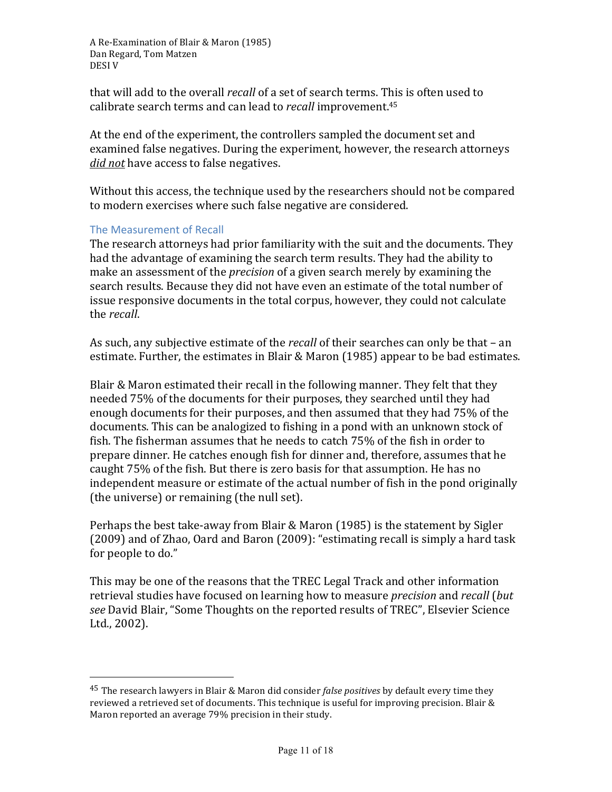that will add to the overall *recall* of a set of search terms. This is often used to calibrate search terms and can lead to *recall* improvement.<sup>45</sup>

At the end of the experiment, the controllers sampled the document set and examined false negatives. During the experiment, however, the research attorneys *did not* have access to false negatives.

Without this access, the technique used by the researchers should not be compared to modern exercises where such false negative are considered.

#### The Measurement of Recall

 

The research attorneys had prior familiarity with the suit and the documents. They had the advantage of examining the search term results. They had the ability to make an assessment of the *precision* of a given search merely by examining the search results. Because they did not have even an estimate of the total number of issue responsive documents in the total corpus, however, they could not calculate the *recall*.

As such, any subjective estimate of the *recall* of their searches can only be that – an estimate. Further, the estimates in Blair & Maron (1985) appear to be bad estimates.

Blair & Maron estimated their recall in the following manner. They felt that they needed 75% of the documents for their purposes, they searched until they had enough documents for their purposes, and then assumed that they had 75% of the documents. This can be analogized to fishing in a pond with an unknown stock of fish. The fisherman assumes that he needs to catch 75% of the fish in order to prepare dinner. He catches enough fish for dinner and, therefore, assumes that he caught  $75\%$  of the fish. But there is zero basis for that assumption. He has no independent measure or estimate of the actual number of fish in the pond originally (the universe) or remaining (the null set).

Perhaps the best take-away from Blair & Maron (1985) is the statement by Sigler (2009) and of Zhao, Oard and Baron (2009): "estimating recall is simply a hard task for people to do."

This may be one of the reasons that the TREC Legal Track and other information retrieval studies have focused on learning how to measure *precision* and *recall* (*but* see David Blair, "Some Thoughts on the reported results of TREC", Elsevier Science Ltd., 2002).

<sup>&</sup>lt;sup>45</sup> The research lawyers in Blair & Maron did consider *false positives* by default every time they reviewed a retrieved set of documents. This technique is useful for improving precision. Blair & Maron reported an average 79% precision in their study.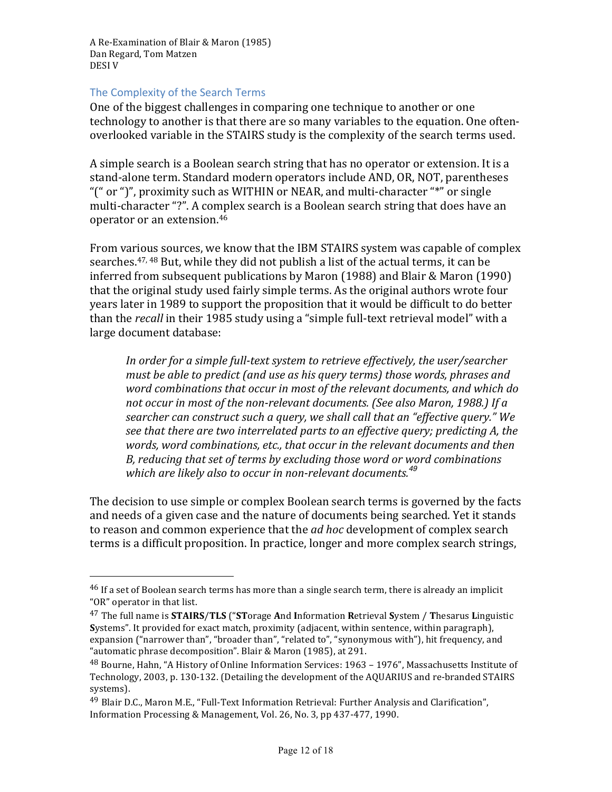#### The Complexity of the Search Terms

 

One of the biggest challenges in comparing one technique to another or one technology to another is that there are so many variables to the equation. One oftenoverlooked variable in the STAIRS study is the complexity of the search terms used.

A simple search is a Boolean search string that has no operator or extension. It is a stand-alone term. Standard modern operators include AND, OR, NOT, parentheses "(" or ")", proximity such as WITHIN or NEAR, and multi-character "\*" or single multi-character "?". A complex search is a Boolean search string that does have an operator or an extension.<sup>46</sup>

From various sources, we know that the IBM STAIRS system was capable of complex searches.<sup>47, 48</sup> But, while they did not publish a list of the actual terms, it can be inferred from subsequent publications by Maron  $(1988)$  and Blair & Maron  $(1990)$ that the original study used fairly simple terms. As the original authors wrote four years later in 1989 to support the proposition that it would be difficult to do better than the *recall* in their 1985 study using a "simple full-text retrieval model" with a large document database:

In order for a simple full-text system to retrieve effectively, the user/searcher *must be able to predict (and use as his query terms) those words, phrases and* word combinations that occur in most of the relevant documents, and which do not occur in most of the non-relevant documents. (See also Maron, 1988.) If a *searcher can construct such a query, we shall call that an "effective query."* We *see that there are two interrelated parts to an effective query; predicting A, the* words, word combinations, etc., that occur in the relevant documents and then B, reducing that set of terms by excluding those word or word combinations which are likely also to occur in non-relevant documents.<sup>49</sup>

The decision to use simple or complex Boolean search terms is governed by the facts and needs of a given case and the nature of documents being searched. Yet it stands to reason and common experience that the *ad hoc* development of complex search terms is a difficult proposition. In practice, longer and more complex search strings,

 $46$  If a set of Boolean search terms has more than a single search term, there is already an implicit "OR" operator in that list.

<sup>&</sup>lt;sup>47</sup> The full name is **STAIRS/TLS** ("STorage And Information Retrieval System / Thesarus Linguistic **Systems".** It provided for exact match, proximity (adjacent, within sentence, within paragraph), expansion ("narrower than", "broader than", "related to", "synonymous with"), hit frequency, and "automatic phrase decomposition". Blair & Maron (1985), at 291.

 $48$  Bourne, Hahn, "A History of Online Information Services:  $1963 - 1976$ ", Massachusetts Institute of Technology, 2003, p. 130-132. (Detailing the development of the AQUARIUS and re-branded STAIRS systems).

<sup>&</sup>lt;sup>49</sup> Blair D.C., Maron M.E., "Full-Text Information Retrieval: Further Analysis and Clarification", Information Processing & Management, Vol. 26, No. 3, pp 437-477, 1990.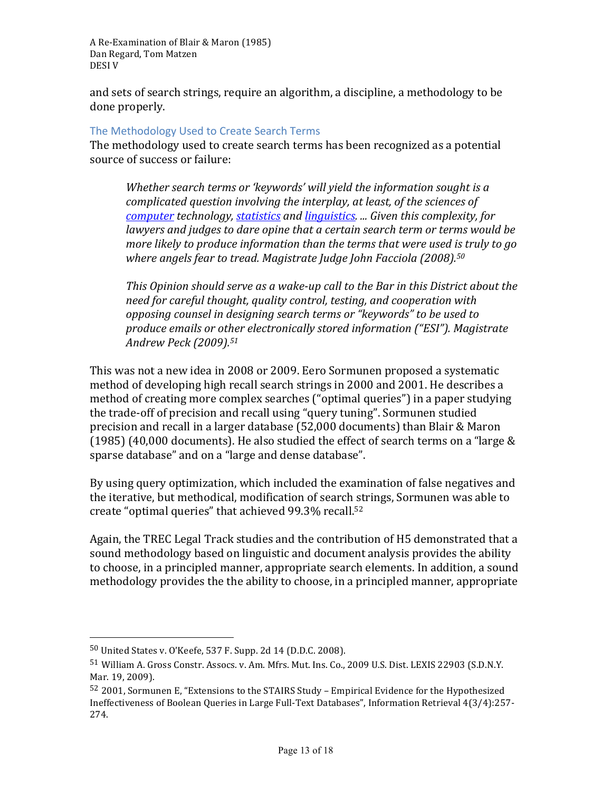and sets of search strings, require an algorithm, a discipline, a methodology to be done properly.

#### The Methodology Used to Create Search Terms

The methodology used to create search terms has been recognized as a potential source of success or failure:

Whether search terms or 'keywords' will yield the information sought is a *complicated question involving the interplay, at least, of the sciences of computer technology, statistics and linguistics. ... Given this complexity, for lawyers* and *judges* to dare opine that a certain search term or terms would be *more likely to produce information than the terms that were used is truly to go* where angels fear to tread. Magistrate Judge John Facciola (2008).<sup>50</sup>

*This* Opinion should serve as a wake-up call to the Bar in this District about the *need for careful thought, quality control, testing, and cooperation with opposing counsel in designing search terms or "keywords" to be used to produce emails or other electronically stored information ("ESI"). Magistrate Andrew Peck (2009).51*

This was not a new idea in 2008 or 2009. Eero Sormunen proposed a systematic method of developing high recall search strings in 2000 and 2001. He describes a method of creating more complex searches ("optimal queries") in a paper studying the trade-off of precision and recall using "query tuning". Sormunen studied precision and recall in a larger database (52,000 documents) than Blair & Maron (1985) (40,000 documents). He also studied the effect of search terms on a "large  $&$ sparse database" and on a "large and dense database".

By using query optimization, which included the examination of false negatives and the iterative, but methodical, modification of search strings, Sormunen was able to create "optimal queries" that achieved 99.3% recall.<sup>52</sup>

Again, the TREC Legal Track studies and the contribution of H5 demonstrated that a sound methodology based on linguistic and document analysis provides the ability to choose, in a principled manner, appropriate search elements. In addition, a sound methodology provides the the ability to choose, in a principled manner, appropriate

 $50$  United States v. O'Keefe, 537 F. Supp. 2d 14 (D.D.C. 2008).

<sup>51</sup> William A. Gross Constr. Assocs. v. Am. Mfrs. Mut. Ins. Co., 2009 U.S. Dist. LEXIS 22903 (S.D.N.Y. Mar. 19, 2009).

 $52$  2001, Sormunen E, "Extensions to the STAIRS Study – Empirical Evidence for the Hypothesized Ineffectiveness of Boolean Queries in Large Full-Text Databases", Information Retrieval 4(3/4):257-274.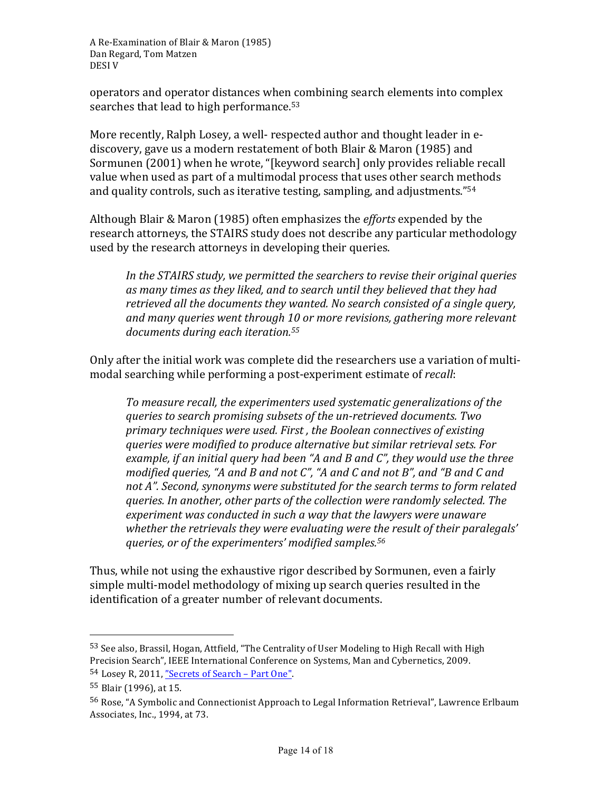operators and operator distances when combining search elements into complex searches that lead to high performance. $53$ 

More recently, Ralph Losey, a well- respected author and thought leader in ediscovery, gave us a modern restatement of both Blair & Maron (1985) and Sormunen (2001) when he wrote, "[keyword search] only provides reliable recall value when used as part of a multimodal process that uses other search methods and quality controls, such as iterative testing, sampling, and adjustments." $54$ 

Although Blair & Maron (1985) often emphasizes the *efforts* expended by the research attorneys, the STAIRS study does not describe any particular methodology used by the research attorneys in developing their queries.

In the STAIRS study, we permitted the searchers to revise their original queries as many times as they liked, and to search until they believed that they had retrieved all the documents they wanted. No search consisted of a single query, and many queries went through 10 or more revisions, gathering more relevant *documents during each iteration. 55*

Only after the initial work was complete did the researchers use a variation of multimodal searching while performing a post-experiment estimate of *recall*:

To measure recall, the experimenters used systematic generalizations of the *queries to search promising subsets of the un-retrieved documents. Two* primary techniques were used. First, the Boolean connectives of existing *queries were modified to produce alternative but similar retrieval sets. For*  example, if an initial query had been "A and B and C", they would use the three *modified queries, "A and B and not C", "A and C and not B", and "B and C and* not A". Second, synonyms were substituted for the search terms to form related *queries. In another, other parts of the collection were randomly selected. The*  experiment was conducted in such a way that the lawyers were unaware whether the retrievals they were evaluating were the result of their paralegals' *queries, or of the experimenters' modified samples.56*

Thus, while not using the exhaustive rigor described by Sormunen, even a fairly simple multi-model methodology of mixing up search queries resulted in the identification of a greater number of relevant documents.

<sup>53</sup> See also, Brassil, Hogan, Attfield, "The Centrality of User Modeling to High Recall with High Precision Search", IEEE International Conference on Systems, Man and Cybernetics, 2009. 54 Losey R, 2011, "Secrets of Search - Part One".

<sup>55</sup> Blair (1996), at 15.

<sup>56</sup> Rose, "A Symbolic and Connectionist Approach to Legal Information Retrieval", Lawrence Erlbaum Associates, Inc., 1994, at 73.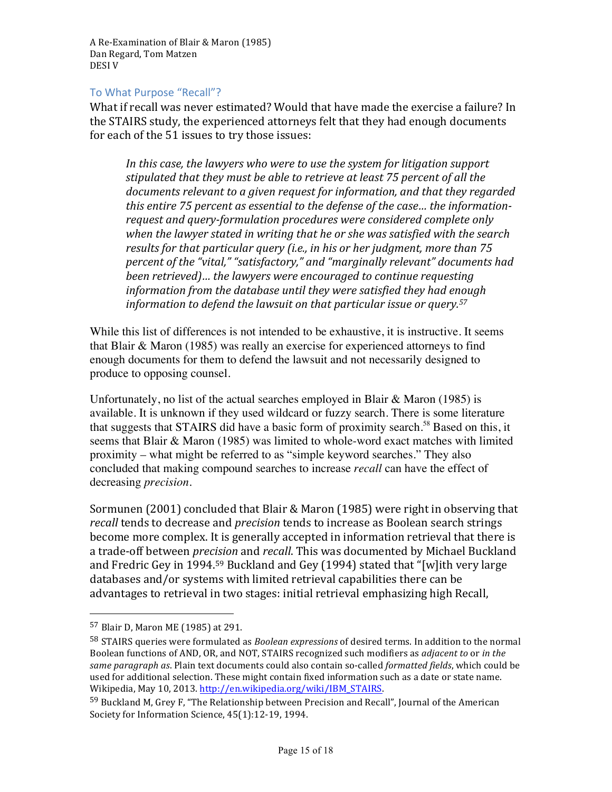#### To What Purpose "Recall"?

What if recall was never estimated? Would that have made the exercise a failure? In the STAIRS study, the experienced attorneys felt that they had enough documents for each of the 51 issues to try those issues:

In this case, the *lawyers* who were to use the system for litigation support stipulated that they must be able to retrieve at least 75 percent of all the documents relevant to a given request for information, and that they regarded this entire 75 percent as essential to the defense of the case... the *information*request and query-formulation procedures were considered complete only when the lawyer stated in writing that he or she was satisfied with the search *results* for that particular query (i.e., in his or her judgment, more than 75 *percent of the "vital," "satisfactory,"* and "marginally relevant" documents had *been retrieved*)... the lawyers were encouraged to continue requesting information from the database until they were satisfied they had enough information to defend the lawsuit on that particular issue or query.<sup>57</sup>

While this list of differences is not intended to be exhaustive, it is instructive. It seems that Blair & Maron (1985) was really an exercise for experienced attorneys to find enough documents for them to defend the lawsuit and not necessarily designed to produce to opposing counsel.

Unfortunately, no list of the actual searches employed in Blair  $\&$  Maron (1985) is available. It is unknown if they used wildcard or fuzzy search. There is some literature that suggests that STAIRS did have a basic form of proximity search.<sup>58</sup> Based on this, it seems that Blair & Maron (1985) was limited to whole-word exact matches with limited proximity – what might be referred to as "simple keyword searches." They also concluded that making compound searches to increase *recall* can have the effect of decreasing *precision.*

Sormunen  $(2001)$  concluded that Blair & Maron  $(1985)$  were right in observing that *recall* tends to decrease and *precision* tends to increase as Boolean search strings become more complex. It is generally accepted in information retrieval that there is a trade-off between *precision* and *recall*. This was documented by Michael Buckland and Fredric Gey in 1994.<sup>59</sup> Buckland and Gey (1994) stated that "[w]ith very large databases and/or systems with limited retrieval capabilities there can be advantages to retrieval in two stages: initial retrieval emphasizing high Recall,

 57 Blair D, Maron ME (1985) at 291.

<sup>58</sup> STAIRS queries were formulated as *Boolean expressions* of desired terms. In addition to the normal Boolean functions of AND, OR, and NOT, STAIRS recognized such modifiers as *adjacent* to or *in the* same paragraph as. Plain text documents could also contain so-called *formatted fields*, which could be used for additional selection. These might contain fixed information such as a date or state name. Wikipedia, May 10, 2013. http://en.wikipedia.org/wiki/IBM\_STAIRS.

 $59$  Buckland M, Grey F, "The Relationship between Precision and Recall", Journal of the American Society for Information Science, 45(1):12-19, 1994.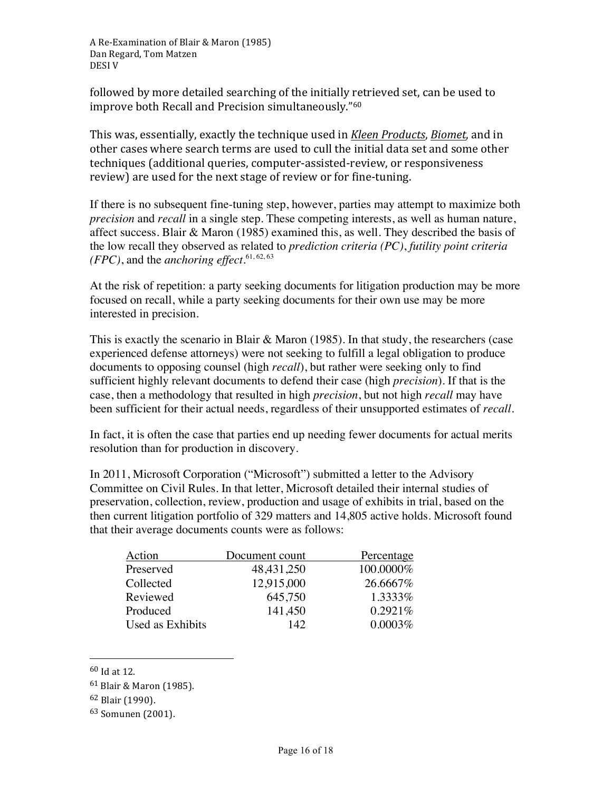followed by more detailed searching of the initially retrieved set, can be used to improve both Recall and Precision simultaneously."<sup>60</sup>

This was, essentially, exactly the technique used in *Kleen Products*, *Biomet*, and in other cases where search terms are used to cull the initial data set and some other techniques (additional queries, computer-assisted-review, or responsiveness review) are used for the next stage of review or for fine-tuning.

If there is no subsequent fine-tuning step, however, parties may attempt to maximize both *precision* and *recall* in a single step. These competing interests, as well as human nature, affect success. Blair & Maron (1985) examined this, as well. They described the basis of the low recall they observed as related to *prediction criteria (PC)*, *futility point criteria (FPC)*, and the *anchoring effect*. 61, 62, 63

At the risk of repetition: a party seeking documents for litigation production may be more focused on recall, while a party seeking documents for their own use may be more interested in precision.

This is exactly the scenario in Blair & Maron (1985). In that study, the researchers (case experienced defense attorneys) were not seeking to fulfill a legal obligation to produce documents to opposing counsel (high *recall*), but rather were seeking only to find sufficient highly relevant documents to defend their case (high *precision*). If that is the case, then a methodology that resulted in high *precision*, but not high *recall* may have been sufficient for their actual needs, regardless of their unsupported estimates of *recall*.

In fact, it is often the case that parties end up needing fewer documents for actual merits resolution than for production in discovery.

In 2011, Microsoft Corporation ("Microsoft") submitted a letter to the Advisory Committee on Civil Rules. In that letter, Microsoft detailed their internal studies of preservation, collection, review, production and usage of exhibits in trial, based on the then current litigation portfolio of 329 matters and 14,805 active holds. Microsoft found that their average documents counts were as follows:

| Action           | Document count | Percentage |
|------------------|----------------|------------|
| Preserved        | 48, 431, 250   | 100.0000%  |
| Collected        | 12,915,000     | 26.6667\%  |
| Reviewed         | 645,750        | 1.3333%    |
| Produced         | 141,450        | 0.2921%    |
| Used as Exhibits | 142            | 0.0003%    |

 $60$  Id at 12.

 $61$  Blair & Maron (1985).

<sup>62</sup> Blair (1990).

<sup>&</sup>lt;sup>63</sup> Somunen (2001).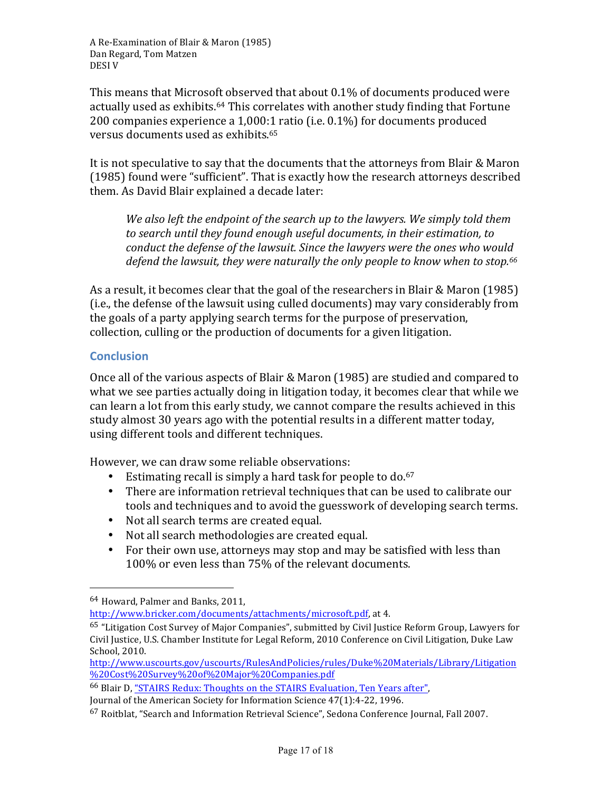This means that Microsoft observed that about  $0.1\%$  of documents produced were actually used as exhibits.<sup>64</sup> This correlates with another study finding that Fortune 200 companies experience a  $1,000:1$  ratio (i.e.  $0.1\%$ ) for documents produced versus documents used as exhibits.<sup>65</sup>

It is not speculative to say that the documents that the attorneys from Blair & Maron (1985) found were "sufficient". That is exactly how the research attorneys described them. As David Blair explained a decade later:

*We also left the endpoint of the search up to the lawyers. We simply told them* to search until they found enough useful documents, in their estimation, to *conduct the defense of the lawsuit. Since the lawyers were the ones who would* defend the lawsuit, they were naturally the only people to know when to stop.<sup>66</sup>

As a result, it becomes clear that the goal of the researchers in Blair & Maron (1985) (i.e., the defense of the lawsuit using culled documents) may vary considerably from the goals of a party applying search terms for the purpose of preservation, collection, culling or the production of documents for a given litigation.

# **Conclusion**

Once all of the various aspects of Blair & Maron (1985) are studied and compared to what we see parties actually doing in litigation today, it becomes clear that while we can learn a lot from this early study, we cannot compare the results achieved in this study almost 30 years ago with the potential results in a different matter today, using different tools and different techniques.

However, we can draw some reliable observations:

- Estimating recall is simply a hard task for people to do. $67$
- There are information retrieval techniques that can be used to calibrate our tools and techniques and to avoid the guesswork of developing search terms.
- Not all search terms are created equal.
- Not all search methodologies are created equal.
- For their own use, attorneys may stop and may be satisfied with less than 100% or even less than 75% of the relevant documents.

 

http://www.bricker.com/documents/attachments/microsoft.pdf, at 4.

<sup>66</sup> Blair D, "STAIRS Redux: Thoughts on the STAIRS Evaluation, Ten Years after",

Journal of the American Society for Information Science 47(1):4-22, 1996.

<sup>64</sup> Howard, Palmer and Banks, 2011.

 $65$  "Litigation Cost Survey of Major Companies", submitted by Civil Justice Reform Group, Lawyers for Civil Justice, U.S. Chamber Institute for Legal Reform, 2010 Conference on Civil Litigation, Duke Law School, 2010.

http://www.uscourts.gov/uscourts/RulesAndPolicies/rules/Duke%20Materials/Library/Litigation %20Cost%20Survey%20of%20Major%20Companies.pdf

 $67$  Roitblat, "Search and Information Retrieval Science", Sedona Conference Journal, Fall 2007.